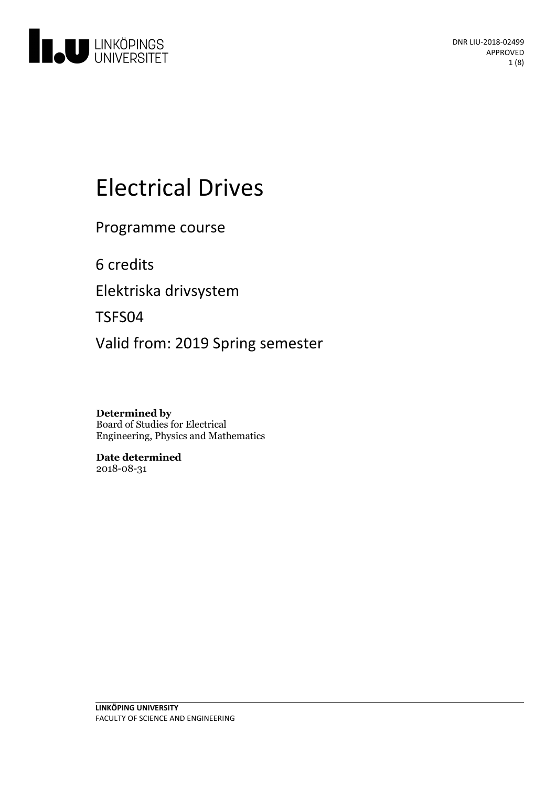

# Electrical Drives

Programme course

6 credits

Elektriska drivsystem

TSFS04

Valid from: 2019 Spring semester

**Determined by** Board of Studies for Electrical Engineering, Physics and Mathematics

**Date determined** 2018-08-31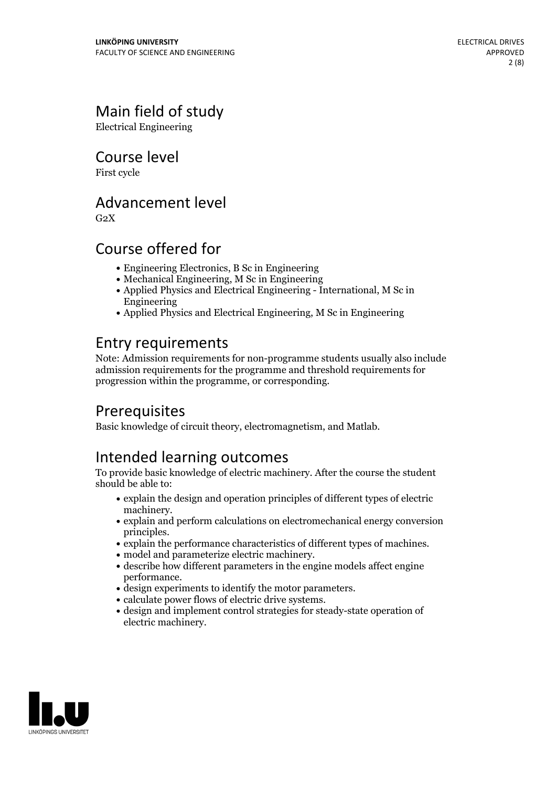# Main field of study

Electrical Engineering

Course level

First cycle

### Advancement level

 $G<sub>2</sub>X$ 

# Course offered for

- Engineering Electronics, B Sc in Engineering
- Mechanical Engineering, M Sc in Engineering
- Applied Physics and Electrical Engineering International, M Sc in Engineering
- Applied Physics and Electrical Engineering, M Sc in Engineering

# Entry requirements

Note: Admission requirements for non-programme students usually also include admission requirements for the programme and threshold requirements for progression within the programme, or corresponding.

# **Prerequisites**

Basic knowledge of circuit theory, electromagnetism, and Matlab.

# Intended learning outcomes

To provide basic knowledge of electric machinery. After the course the student should be able to:

- $\bullet$  explain the design and operation principles of different types of electric machinery.
- $\bullet$  explain and perform calculations on electromechanical energy conversion
- explain the performance characteristics of different types of machines.<br>• model and parameterize electric machinery.<br>• describe how different parameters in the engine models affect engine
- 
- design experiments to identify the motor parameters.<br>• calculate power flows of electric drive systems.<br>• design and implement control strategies for steady-state operation of
- 
- 
- electric machinery.

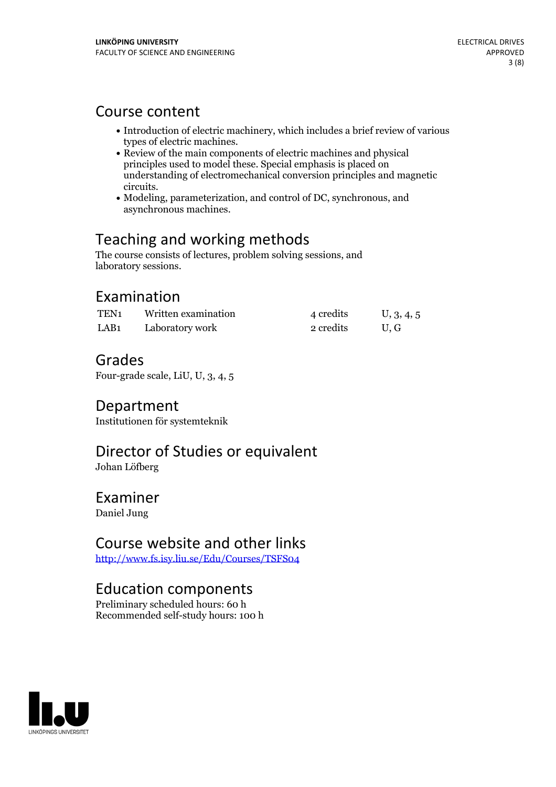### Course content

- Introduction of electric machinery, which includes a brief review of various
- types of electric machines.<br>• Review of the main components of electric machines and physical principles used to model these. Special emphasis is placed on understanding of electromechanical conversion principles and magnetic
- circuits.<br>• Modeling, parameterization, and control of DC, synchronous, and asynchronous machines.

# Teaching and working methods

The course consists of lectures, problem solving sessions, and laboratory sessions.

# Examination

| TEN <sub>1</sub> | Written examination | 4 credits | U, 3, 4, 5 |
|------------------|---------------------|-----------|------------|
| LAB <sub>1</sub> | Laboratory work     | 2 credits | U.G        |

### Grades

Four-grade scale, LiU, U, 3, 4, 5

### Department

Institutionen för systemteknik

# Director of Studies or equivalent

Johan Löfberg

### Examiner

Daniel Jung

### Course website and other links

<http://www.fs.isy.liu.se/Edu/Courses/TSFS04>

### Education components

Preliminary scheduled hours: 60 h Recommended self-study hours: 100 h

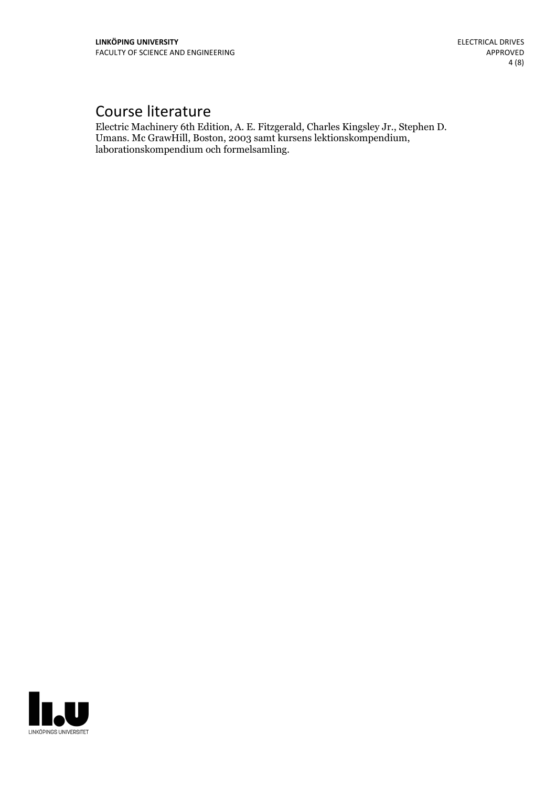# Course literature

Electric Machinery 6th Edition, A. E. Fitzgerald, Charles Kingsley Jr., Stephen D. Umans. Mc GrawHill, Boston, <sup>2003</sup> samt kursens lektionskompendium, laborationskompendium och formelsamling.

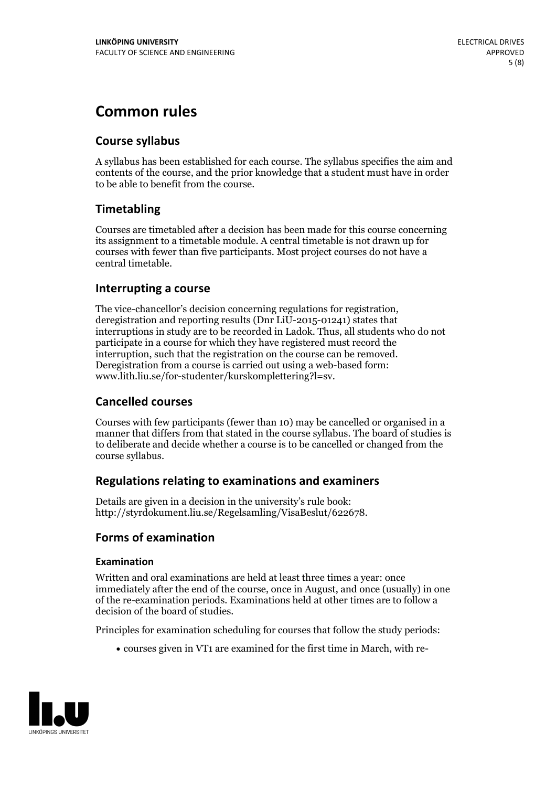# **Common rules**

### **Course syllabus**

A syllabus has been established for each course. The syllabus specifies the aim and contents of the course, and the prior knowledge that a student must have in order to be able to benefit from the course.

### **Timetabling**

Courses are timetabled after a decision has been made for this course concerning its assignment to a timetable module. A central timetable is not drawn up for courses with fewer than five participants. Most project courses do not have a central timetable.

### **Interrupting a course**

The vice-chancellor's decision concerning regulations for registration, deregistration and reporting results (Dnr LiU-2015-01241) states that interruptions in study are to be recorded in Ladok. Thus, all students who do not participate in a course for which they have registered must record the interruption, such that the registration on the course can be removed. Deregistration from <sup>a</sup> course is carried outusing <sup>a</sup> web-based form: www.lith.liu.se/for-studenter/kurskomplettering?l=sv.

### **Cancelled courses**

Courses with few participants (fewer than 10) may be cancelled or organised in a manner that differs from that stated in the course syllabus. The board of studies is to deliberate and decide whether a course is to be cancelled orchanged from the course syllabus.

### **Regulations relatingto examinations and examiners**

Details are given in a decision in the university's rule book: http://styrdokument.liu.se/Regelsamling/VisaBeslut/622678.

### **Forms of examination**

#### **Examination**

Written and oral examinations are held at least three times a year: once immediately after the end of the course, once in August, and once (usually) in one of the re-examination periods. Examinations held at other times are to follow a decision of the board of studies.

Principles for examination scheduling for courses that follow the study periods:

courses given in VT1 are examined for the first time in March, with re-

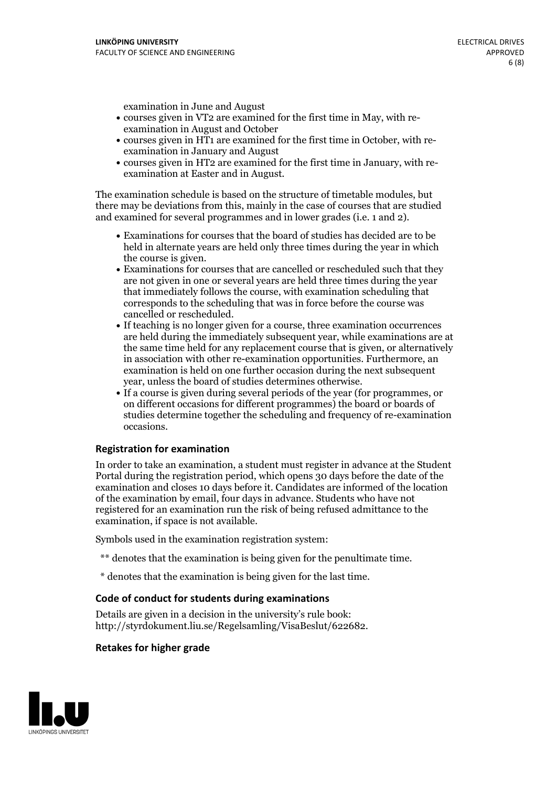examination in June and August

- courses given in VT2 are examined for the first time in May, with re-examination in August and October
- courses given in HT1 are examined for the first time in October, with re-examination in January and August
- courses given in HT2 are examined for the first time in January, with re-examination at Easter and in August.

The examination schedule is based on the structure of timetable modules, but there may be deviations from this, mainly in the case of courses that are studied and examined for several programmes and in lower grades (i.e. 1 and 2).

- Examinations for courses that the board of studies has decided are to be held in alternate years are held only three times during the year in which
- the course is given.<br>• Examinations for courses that are cancelled or rescheduled such that they are not given in one or several years are held three times during the year that immediately follows the course, with examination scheduling that corresponds to the scheduling that was in force before the course was cancelled or rescheduled.<br>• If teaching is no longer given for a course, three examination occurrences
- are held during the immediately subsequent year, while examinations are at the same time held for any replacement course that is given, or alternatively in association with other re-examination opportunities. Furthermore, an examination is held on one further occasion during the next subsequent year, unless the board of studies determines otherwise.<br>• If a course is given during several periods of the year (for programmes, or
- on different occasions for different programmes) the board orboards of studies determine together the scheduling and frequency of re-examination occasions.

#### **Registration for examination**

In order to take an examination, a student must register in advance at the Student Portal during the registration period, which opens 30 days before the date of the examination and closes 10 days before it. Candidates are informed of the location of the examination by email, four days in advance. Students who have not registered for an examination run the risk of being refused admittance to the examination, if space is not available.

Symbols used in the examination registration system:

- \*\* denotes that the examination is being given for the penultimate time.
- \* denotes that the examination is being given for the last time.

#### **Code of conduct for students during examinations**

Details are given in a decision in the university's rule book: http://styrdokument.liu.se/Regelsamling/VisaBeslut/622682.

#### **Retakes for higher grade**

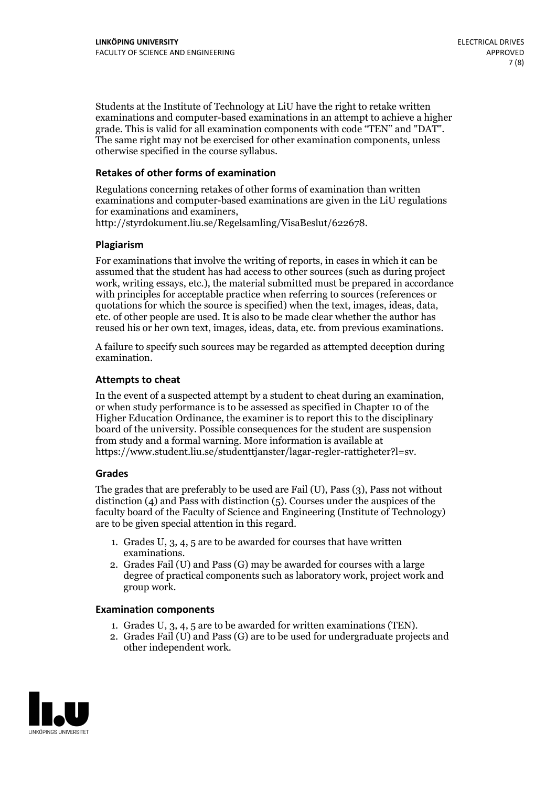Students at the Institute of Technology at LiU have the right to retake written examinations and computer-based examinations in an attempt to achieve a higher grade. This is valid for all examination components with code "TEN" and "DAT". The same right may not be exercised for other examination components, unless otherwise specified in the course syllabus.

#### **Retakes of other forms of examination**

Regulations concerning retakes of other forms of examination than written examinations and computer-based examinations are given in the LiU regulations for examinations and examiners, http://styrdokument.liu.se/Regelsamling/VisaBeslut/622678.

#### **Plagiarism**

For examinations that involve the writing of reports, in cases in which it can be assumed that the student has had access to other sources (such as during project work, writing essays, etc.), the material submitted must be prepared in accordance with principles for acceptable practice when referring to sources (references or quotations for which the source is specified) when the text, images, ideas, data, etc. of other people are used. It is also to be made clear whether the author has reused his or her own text, images, ideas, data, etc. from previous examinations.

A failure to specify such sources may be regarded as attempted deception during examination.

#### **Attempts to cheat**

In the event of <sup>a</sup> suspected attempt by <sup>a</sup> student to cheat during an examination, or when study performance is to be assessed as specified in Chapter <sup>10</sup> of the Higher Education Ordinance, the examiner is to report this to the disciplinary board of the university. Possible consequences for the student are suspension from study and a formal warning. More information is available at https://www.student.liu.se/studenttjanster/lagar-regler-rattigheter?l=sv.

#### **Grades**

The grades that are preferably to be used are Fail (U), Pass (3), Pass not without distinction  $(4)$  and Pass with distinction  $(5)$ . Courses under the auspices of the faculty board of the Faculty of Science and Engineering (Institute of Technology) are to be given special attention in this regard.

- 1. Grades U, 3, 4, 5 are to be awarded for courses that have written
- examinations. 2. Grades Fail (U) and Pass (G) may be awarded for courses with <sup>a</sup> large degree of practical components such as laboratory work, project work and group work.

#### **Examination components**

- 
- 1. Grades U, 3, 4, <sup>5</sup> are to be awarded for written examinations (TEN). 2. Grades Fail (U) and Pass (G) are to be used for undergraduate projects and other independent work.